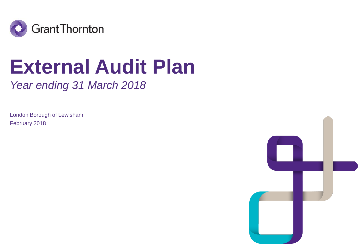

# **External Audit Plan**

*Year ending 31 March 2018*

London Borough of Lewisham February 2018

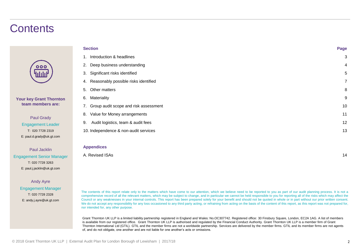### **Contents**

| 000          |  |
|--------------|--|
| <u>ilili</u> |  |

#### **Your key Grant Thornton team members are:**

Paul Grady Engagement Leader T: 020 7728 2319 E: paul.d.grady@uk.gt.com

Paul Jacklin Engagement Senior Manager T: 020 7728 3263 E: paul.j.jacklin@uk.gt.com

> Andy Ayre Engagement Manager T: 020 7728 2328 E: andy.j.ayre@uk.gt.com

| <b>Section</b>                              | Page |
|---------------------------------------------|------|
| Introduction & headlines                    | 3    |
| Deep business understanding<br>2.           | 4    |
| Significant risks identified<br>3.          | 5    |
| Reasonably possible risks identified<br>4.  | 7    |
| Other matters<br>5.                         | 8    |
| Materiality<br>6.                           | 9    |
| Group audit scope and risk assessment<br>7. | 10   |
| Value for Money arrangements<br>8.          | 11   |
| Audit logistics, team & audit fees<br>9.    | 12   |
| 10. Independence & non-audit services       | 13   |
|                                             |      |

#### **Appendices**

A. Revised ISAs 14

The contents of this report relate only to the matters which have come to our attention, which we believe need to be reported to you as part of our audit planning process. It is not a comprehensive record of all the relevant matters, which may be subject to change, and in particular we cannot be held responsible to you for reporting all of the risks which may affect the Council or any weaknesses in your internal controls. This report has been prepared solely for your benefit and should not be quoted in whole or in part without our prior written consent. We do not accept any responsibility for any loss occasioned to any third party acting, or refraining from acting on the basis of the content of this report, as this report was not prepared for, nor intended for, any other purpose.

Grant Thornton UK LLP is a limited liability partnership registered in England and Wales: No.OC307742. Registered office: 30 Finsbury Square, London, EC2A 1AG. A list of members is available from our registered office. Grant Thornton UK LLP is authorised and regulated by the Financial Conduct Authority. Grant Thornton UK LLP is a member firm of Grant Thornton International Ltd (GTIL). GTIL and the member firms are not a worldwide partnership. Services are delivered by the member firms. GTIL and its member firms are not agents of, and do not obligate, one another and are not liable for one another's acts or omissions.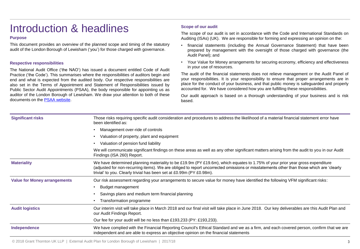### Introduction & headlines

#### **Purpose**

This document provides an overview of the planned scope and timing of the statutory audit of the London Borough of Lewisham ('you') for those charged with governance.

#### **Respective responsibilities**

The National Audit Office ('the NAO') has issued a document entitled Code of Audit Practice ('the Code'). This summarises where the responsibilities of auditors begin and end and what is expected from the audited body. Our respective responsibilities are also set in the Terms of Appointment and Statement of Responsibilities issued by Public Sector Audit Appointments (PSAA), the body responsible for appointing us as auditor of the London Borough of Lewisham. We draw your attention to both of these documents on the PSAA [website.](https://www.psaa.co.uk/audit-quality/terms-of-appointment/)

#### **Scope of our audit**

The scope of our audit is set in accordance with the Code and International Standards on Auditing (ISAs) (UK). We are responsible for forming and expressing an opinion on the:

- financial statements (including the Annual Governance Statement) that have been prepared by management with the oversight of those charged with governance (the Audit Panel); and
- Your Value for Money arrangements for securing economy, efficiency and effectiveness in your use of resources.

The audit of the financial statements does not relieve management or the Audit Panel of your responsibilities. It is your responsibility to ensure that proper arrangements are in place for the conduct of your business, and that public money is safeguarded and properly accounted for. We have considered how you are fulfilling these responsibilities.

Our audit approach is based on a thorough understanding of your business and is risk based.

| <b>Significant risks</b>            | Those risks requiring specific audit consideration and procedures to address the likelihood of a material financial statement error have<br>been identified as:                                                                                                                                                                                  |
|-------------------------------------|--------------------------------------------------------------------------------------------------------------------------------------------------------------------------------------------------------------------------------------------------------------------------------------------------------------------------------------------------|
|                                     | Management over-ride of controls                                                                                                                                                                                                                                                                                                                 |
|                                     | Valuation of property, plant and equipment                                                                                                                                                                                                                                                                                                       |
|                                     | Valuation of pension fund liability                                                                                                                                                                                                                                                                                                              |
|                                     | We will communicate significant findings on these areas as well as any other significant matters arising from the audit to you in our Audit<br>Findings (ISA 260) Report.                                                                                                                                                                        |
| <b>Materiality</b>                  | We have determined planning materiality to be £19.9m (PY £19.6m), which equates to 1.75% of your prior year gross expenditure<br>(adjusted for non-recurring items). We are obliged to report uncorrected omissions or misstatements other than those which are 'clearly<br>trivial' to you. Clearly trivial has been set at £0.99m (PY £0.98m). |
| <b>Value for Money arrangements</b> | Our risk assessment regarding your arrangements to secure value for money have identified the following VFM significant risks:                                                                                                                                                                                                                   |
|                                     | Budget management                                                                                                                                                                                                                                                                                                                                |
|                                     | Savings plans and medium term financial planning                                                                                                                                                                                                                                                                                                 |
|                                     | Transformation programme                                                                                                                                                                                                                                                                                                                         |
| <b>Audit logistics</b>              | Our interim visit will take place in March 2018 and our final visit will take place in June 2018. Our key deliverables are this Audit Plan and<br>our Audit Findings Report.                                                                                                                                                                     |
|                                     | Our fee for your audit will be no less than £193,233 (PY: £193,233).                                                                                                                                                                                                                                                                             |
| Independence                        | We have complied with the Financial Reporting Council's Ethical Standard and we as a firm, and each covered person, confirm that we are<br>independent and are able to express an objective opinion on the financial statements                                                                                                                  |
|                                     |                                                                                                                                                                                                                                                                                                                                                  |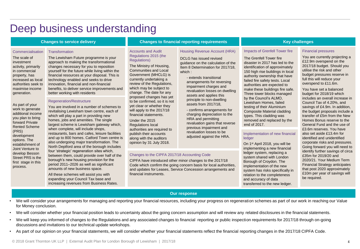### Deep business understanding

#### **Changes to service delivery**

#### **Commercialisation**

The scale of investment activity, primarily in commercial property, has increased as local authorities seek to maximise income generation.

As part of your work to generate additional income you plan to bring forward Private Rented Scheme

(PRS) development options. The establishment of Joint Venture to develop Besson Street PRS is the first stage in this process.

**Transformation** 

The Lewisham Future programme is your approach to making the transformational changes necessary for you to reposition yourself for the future while living within the financial resources at your disposal. This is technology enabled and seeks to drive innovation, financial and non-financial benefits, to deliver service improvements and better working with residents

#### Regeneration/Restructure

You are involved in a number of schemes to revitalising Lewisham town centre, each of which will play a part in providing new homes, jobs and amenities. The single largest scheme is Lewisham gateway which, when complete, will include shops, restaurants, bars and cafes, leisure facilities and up to 800 homes. Catford Town centre is also undergoing major transformation. The North Deptford area of the borough includes four 'strategic' regeneration sites which, between them, could provide over half of the borough's new housing provision for the period 2011–2026 as well as significant amounts of new business space.

All these schemes will assist you with expanding your Council Tax base and increasing revenues from Business Rates.

### **Changes to financial reporting requirements Key challenges**

#### Accounts and Audit Regulations 2015 (the Regulations)

The Ministry of Housing, Communities and Local Government (MHCLG) is currently undertaking a review of the Regulations, which may be subject to change. The date for any proposed changes has yet to be confirmed, so it is not yet clear or whether they will apply to the 2017/18 financial statements.

Under the 2015 Regulations local authorities are required to publish their accounts along with the auditors opinion by 31 July 2018.

#### Changes to the CIPFA 2017/18 Accounting Code

CIPFA have introduced other minor changes to the 2017/18 Code which confirm the going concern basis for local authorities, and updates for Leases, Service Concession arrangements and financial instruments.

The Grenfell Tower fire disaster in 2017 has led to the identification of approximately 150 high rise buildings in local authority ownership that have failed fire safety tests. Local authorities are expected to make these buildings fire safe. Three tower blocks managed by the Council's ALMO, Lewisham Homes, failed testing of their Aluminium Composite Material cladding types. This cladding was removed and replaced by the

#### Financial pressures

You are currently projecting a £12.9m overspend on the 2017/18 budget. Should you utilise the risk and other budget pressures reserve in full this will reduce your overspend to £11.6m.

You have set a balanced budget for 2018/19 which includes an overall increase in Council Tax of 4.20%, and savings of £4.9m. In addition, the budget proposals include a transfer of £5m from the New Homes Bonus reserve to the General Fund and the use of £3.6m reserves. You have also set aside £13.4m for identified and unidentified corporate risks and pressures. Going forward you will need to identify further savings of circa £35m for 2019/20 and 2020/21. Your Medium Term Financial Strategy anticipates that post 2020 approximately £10m per year of savings will be required.

#### Housing Revenue Account (HRA) Impacts of Grenfell Tower fire

DCLG has issued revised guidance on the calculation of the Item 8 Determination for 2017/18, which :

- extends transitional arrangements for reversing impairment charges and revaluation losses on dwelling assets and applies this principle to non-dwelling assets from 2017/18,

- - confirms arrangements for charging depreciation to the HRA and permitting revaluation gains that reverse previous impairment and revaluation losses to be adjusted against the HRA.

#### ledger On 1st April 2018, you will be implementing a new financial ledger system, replacing a system shared with London Borough of Croydon. The implementation of the new system has risks specifically in relation to the completeness

and accuracy of data transferred to the new ledger.

end of 2017.

Implementation of new financial

**Our response**

- We will consider your arrangements for managing and reporting your financial resources, including your progress on regeneration schemes as part of our work in reaching our Value for Money conclusion.
- We will consider whether your financial position leads to uncertainty about the going concern assumption and will review any related disclosures in the financial statements.
- We will keep you informed of changes to the Regulations and any associated changes to financial reporting or public inspection requirements for 2017/18 through on-going discussions and invitations to our technical update workshops.
- As part of our opinion on your financial statements, we will consider whether your financial statements reflect the financial reporting changes in the 2017/18 CIPFA Code.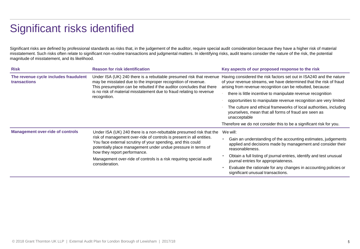### Significant risks identified

Significant risks are defined by professional standards as risks that, in the judgement of the auditor, require special audit consideration because they have a higher risk of material misstatement. Such risks often relate to significant non-routine transactions and judgmental matters. In identifying risks, audit teams consider the nature of the risk, the potential magnitude of misstatement, and its likelihood.

| <b>Risk</b>                                                                                                                                                                                                                                                                                                                                                                                                                                    | <b>Reason for risk identification</b>                                                                                                                                                                                                                                                               | Key aspects of our proposed response to the risk                                                                                                                                                                                                                                                                                                                                                                                                                                                                                                                |  |
|------------------------------------------------------------------------------------------------------------------------------------------------------------------------------------------------------------------------------------------------------------------------------------------------------------------------------------------------------------------------------------------------------------------------------------------------|-----------------------------------------------------------------------------------------------------------------------------------------------------------------------------------------------------------------------------------------------------------------------------------------------------|-----------------------------------------------------------------------------------------------------------------------------------------------------------------------------------------------------------------------------------------------------------------------------------------------------------------------------------------------------------------------------------------------------------------------------------------------------------------------------------------------------------------------------------------------------------------|--|
| The revenue cycle includes fraudulent<br><b>transactions</b>                                                                                                                                                                                                                                                                                                                                                                                   | Under ISA (UK) 240 there is a rebuttable presumed risk that revenue<br>may be misstated due to the improper recognition of revenue.<br>This presumption can be rebutted if the auditor concludes that there<br>is no risk of material misstatement due to fraud relating to revenue<br>recognition. | Having considered the risk factors set out in ISA240 and the nature<br>of your revenue streams, we have determined that the risk of fraud<br>arising from revenue recognition can be rebutted, because:<br>there is little incentive to manipulate revenue recognition<br>opportunities to manipulate revenue recognition are very limited<br>The culture and ethical frameworks of local authorities, including<br>yourselves, mean that all forms of fraud are seen as<br>unacceptable<br>Therefore we do not consider this to be a significant risk for you. |  |
| <b>Management over-ride of controls</b><br>Under ISA (UK) 240 there is a non-rebuttable presumed risk that the<br>risk of management over-ride of controls is present in all entities.<br>You face external scrutiny of your spending, and this could<br>potentially place management under undue pressure in terms of<br>how they report performance.<br>Management over-ride of controls is a risk requiring special audit<br>consideration. |                                                                                                                                                                                                                                                                                                     | We will:<br>Gain an understanding of the accounting estimates, judgements<br>applied and decisions made by management and consider their<br>reasonableness.<br>Obtain a full listing of journal entries, identify and test unusual<br>journal entries for appropriateness.<br>Evaluate the rationale for any changes in accounting policies or<br>significant unusual transactions.                                                                                                                                                                             |  |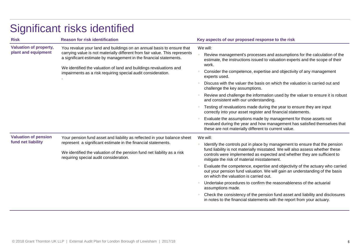| <b>Risk</b>                                          | <b>Reason for risk identification</b>                                                                                                                                                                                                                          | Key aspects of our proposed response to the risk                                                                                                                                                                                                                                        |  |
|------------------------------------------------------|----------------------------------------------------------------------------------------------------------------------------------------------------------------------------------------------------------------------------------------------------------------|-----------------------------------------------------------------------------------------------------------------------------------------------------------------------------------------------------------------------------------------------------------------------------------------|--|
| <b>Valuation of property,</b><br>plant and equipment | You revalue your land and buildings on an annual basis to ensure that                                                                                                                                                                                          | We will:                                                                                                                                                                                                                                                                                |  |
|                                                      | carrying value is not materially different from fair value. This represents<br>a significant estimate by management in the financial statements.                                                                                                               | Review management's processes and assumptions for the calculation of the<br>estimate, the instructions issued to valuation experts and the scope of their<br>work.                                                                                                                      |  |
|                                                      | We identified the valuation of land and buildings revaluations and<br>impairments as a risk requiring special audit consideration.                                                                                                                             | Consider the competence, expertise and objectivity of any management<br>experts used.                                                                                                                                                                                                   |  |
|                                                      |                                                                                                                                                                                                                                                                | Discuss with the valuer the basis on which the valuation is carried out and<br>challenge the key assumptions.                                                                                                                                                                           |  |
|                                                      |                                                                                                                                                                                                                                                                | Review and challenge the information used by the valuer to ensure it is robust<br>and consistent with our understanding.                                                                                                                                                                |  |
|                                                      |                                                                                                                                                                                                                                                                | Testing of revaluations made during the year to ensure they are input<br>correctly into your asset register and financial statements.                                                                                                                                                   |  |
|                                                      |                                                                                                                                                                                                                                                                | Evaluate the assumptions made by management for those assets not<br>revalued during the year and how management has satisfied themselves that<br>these are not materially different to current value.                                                                                   |  |
| <b>Valuation of pension</b><br>fund net liability    | Your pension fund asset and liability as reflected in your balance sheet<br>represent a significant estimate in the financial statements.<br>We identified the valuation of the pension fund net liability as a risk<br>requiring special audit consideration. | We will:                                                                                                                                                                                                                                                                                |  |
|                                                      |                                                                                                                                                                                                                                                                | Identify the controls put in place by management to ensure that the pension<br>fund liability is not materially misstated. We will also assess whether these<br>controls were implemented as expected and whether they are sufficient to<br>mitigate the risk of material misstatement. |  |
|                                                      |                                                                                                                                                                                                                                                                | Evaluate the competence, expertise and objectivity of the actuary who carried<br>out your pension fund valuation. We will gain an understanding of the basis<br>on which the valuation is carried out.                                                                                  |  |
|                                                      |                                                                                                                                                                                                                                                                | Undertake procedures to confirm the reasonableness of the actuarial<br>assumptions made.                                                                                                                                                                                                |  |
|                                                      |                                                                                                                                                                                                                                                                | Check the consistency of the pension fund asset and liability and disclosures<br>in notes to the financial statements with the report from your actuary.                                                                                                                                |  |

## Significant risks identified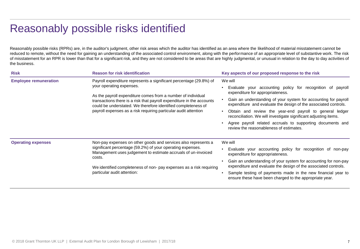### Reasonably possible risks identified

Reasonably possible risks (RPRs) are, in the auditor's judgment, other risk areas which the auditor has identified as an area where the likelihood of material misstatement cannot be reduced to remote, without the need for gaining an understanding of the associated control environment, along with the performance of an appropriate level of substantive work. The risk of misstatement for an RPR is lower than that for a significant risk, and they are not considered to be areas that are highly judgmental, or unusual in relation to the day to day activities of the business.

| <b>Risk</b>                  | <b>Reason for risk identification</b>                                                                                                                                                                                                                                                                                                                                       | Key aspects of our proposed response to the risk                                                                                   |
|------------------------------|-----------------------------------------------------------------------------------------------------------------------------------------------------------------------------------------------------------------------------------------------------------------------------------------------------------------------------------------------------------------------------|------------------------------------------------------------------------------------------------------------------------------------|
| <b>Employee remuneration</b> | Payroll expenditure represents a significant percentage (29.8%) of<br>your operating expenses.<br>As the payroll expenditure comes from a number of individual<br>transactions there is a risk that payroll expenditure in the accounts<br>could be understated. We therefore identified completeness of<br>payroll expenses as a risk requiring particular audit attention | We will                                                                                                                            |
|                              |                                                                                                                                                                                                                                                                                                                                                                             | Evaluate your accounting policy for recognition of payroll<br>expenditure for appropriateness.                                     |
|                              |                                                                                                                                                                                                                                                                                                                                                                             | Gain an understanding of your system for accounting for payroll<br>expenditure and evaluate the design of the associated controls. |
|                              |                                                                                                                                                                                                                                                                                                                                                                             | Obtain and review the year-end payroll to general ledger<br>reconciliation. We will investigate significant adjusting items.       |
|                              |                                                                                                                                                                                                                                                                                                                                                                             | Agree payroll related accruals to supporting documents and<br>review the reasonableness of estimates.                              |
| <b>Operating expenses</b>    | Non-pay expenses on other goods and services also represents a                                                                                                                                                                                                                                                                                                              | We will                                                                                                                            |
|                              | significant percentage (59.2%) of your operating expenses.<br>Management uses judgement to estimate accruals of un-invoiced<br>costs.                                                                                                                                                                                                                                       | Evaluate your accounting policy for recognition of non-pay<br>expenditure for appropriateness.                                     |
|                              | We identified completeness of non- pay expenses as a risk requiring<br>particular audit attention:                                                                                                                                                                                                                                                                          | Gain an understanding of your system for accounting for non-pay<br>expenditure and evaluate the design of the associated controls. |
|                              |                                                                                                                                                                                                                                                                                                                                                                             | Sample testing of payments made in the new financial year to<br>ensure these have been charged to the appropriate year.            |
|                              |                                                                                                                                                                                                                                                                                                                                                                             |                                                                                                                                    |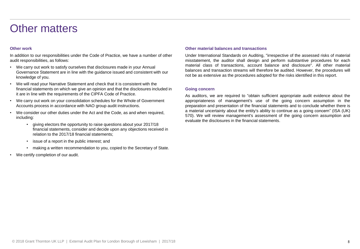### Other matters

#### **Other work**

In addition to our responsibilities under the Code of Practice, we have a number of other audit responsibilities, as follows:

- We carry out work to satisfy ourselves that disclosures made in your Annual Governance Statement are in line with the guidance issued and consistent with our knowledge of you.
- We will read your Narrative Statement and check that it is consistent with the financial statements on which we give an opinion and that the disclosures included in it are in line with the requirements of the CIPFA Code of Practice.
- We carry out work on your consolidation schedules for the Whole of Government Accounts process in accordance with NAO group audit instructions.
- We consider our other duties under the Act and the Code, as and when required, including:
	- giving electors the opportunity to raise questions about your 2017/18 financial statements, consider and decide upon any objections received in relation to the 2017/18 financial statements;
	- issue of a report in the public interest; and
	- making a written recommendation to you, copied to the Secretary of State.
- We certify completion of our audit.

#### **Other material balances and transactions**

Under International Standards on Auditing, "irrespective of the assessed risks of material misstatement, the auditor shall design and perform substantive procedures for each material class of transactions, account balance and disclosure". All other material balances and transaction streams will therefore be audited. However, the procedures will not be as extensive as the procedures adopted for the risks identified in this report.

#### **Going concern**

As auditors, we are required to "obtain sufficient appropriate audit evidence about the appropriateness of management's use of the going concern assumption in the preparation and presentation of the financial statements and to conclude whether there is a material uncertainty about the entity's ability to continue as a going concern" (ISA (UK) 570). We will review management's assessment of the going concern assumption and evaluate the disclosures in the financial statements.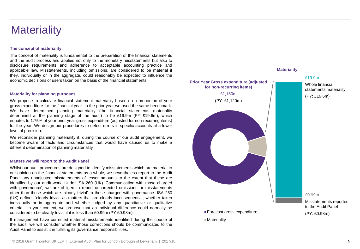### **Materiality**

#### **The concept of materiality**

The concept of materiality is fundamental to the preparation of the financial statements and the audit process and applies not only to the monetary misstatements but also to disclosure requirements and adherence to acceptable accounting practice and applicable law. Misstatements, including omissions, are considered to be material if they, individually or in the aggregate, could reasonably be expected to influence the economic decisions of users taken on the basis of the financial statements.

#### **Materiality for planning purposes**

We propose to calculate financial statement materiality based on a proportion of your gross expenditure for the financial year. In the prior year we used the same benchmark. We have determined planning materiality (the financial statements materiality determined at the planning stage of the audit) to be £19.9m (PY £19.6m), which equates to 1.75% of your prior year gross expenditure (adjusted for non-recurring items) for the year. We design our procedures to detect errors in specific accounts at a lower level of precision.

We reconsider planning materiality if, during the course of our audit engagement, we become aware of facts and circumstances that would have caused us to make a different determination of planning materiality

#### **Matters we will report to the Audit Panel**

Whilst our audit procedures are designed to identify misstatements which are material to our opinion on the financial statements as a whole, we nevertheless report to the Audit Panel any unadjusted misstatements of lesser amounts to the extent that these are identified by our audit work. Under ISA 260 (UK) 'Communication with those charged with governance', we are obliged to report uncorrected omissions or misstatements other than those which are 'clearly trivial' to those charged with governance. ISA 260 (UK) defines 'clearly trivial' as matters that are clearly inconsequential, whether taken individually or in aggregate and whether judged by any quantitative or qualitative criteria. In your context, we propose that an individual difference could normally be considered to be clearly trivial if it is less than £0.99m (PY £0.98m).

If management have corrected material misstatements identified during the course of the audit, we will consider whether those corrections should be communicated to the Audit Panel to assist it in fulfilling its governance responsibilities.

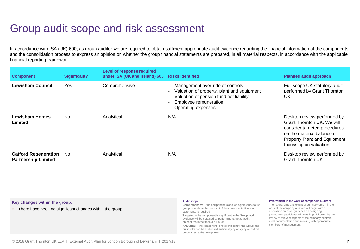### Group audit scope and risk assessment

In accordance with ISA (UK) 600, as group auditor we are required to obtain sufficient appropriate audit evidence regarding the financial information of the components and the consolidation process to express an opinion on whether the group financial statements are prepared, in all material respects, in accordance with the applicable financial reporting framework.

| <b>Component</b>                                          | Significant?   | Level of response required<br>under ISA (UK and Ireland) 600 | <b>Risks identified</b>                                                                                                                                                  | <b>Planned audit approach</b>                                                                                                                                                       |
|-----------------------------------------------------------|----------------|--------------------------------------------------------------|--------------------------------------------------------------------------------------------------------------------------------------------------------------------------|-------------------------------------------------------------------------------------------------------------------------------------------------------------------------------------|
| <b>Lewisham Council</b>                                   | Yes            | Comprehensive                                                | Management over-ride of controls<br>Valuation of property, plant and equipment<br>Valuation of pension fund net liability<br>Employee remuneration<br>Operating expenses | Full scope UK statutory audit<br>performed by Grant Thornton<br>UK                                                                                                                  |
| <b>Lewisham Homes</b><br>Limited                          | <b>No</b>      | Analytical                                                   | N/A                                                                                                                                                                      | Desktop review performed by<br>Grant Thornton UK, We will<br>consider targeted procedures<br>on the material balance of<br>Property Plant and Equipment,<br>focussing on valuation. |
| <b>Catford Regeneration</b><br><b>Partnership Limited</b> | N <sub>0</sub> | Analytical                                                   | N/A                                                                                                                                                                      | Desktop review performed by<br><b>Grant Thornton UK</b>                                                                                                                             |

**Key changes within the group:**

There have been no significant changes within the group

#### **Audit scope**:

**Comprehensive** – the component is of such significance to the group as a whole that an audit of the components financial statements is required

**Targeted** – the component is significant to the Group, audit evidence will be obtained by performing targeted audit procedures rather than a full audit

**Analytical** – the component is not significant to the Group and audit risks can be addressed sufficiently by applying analytical procedures at the Group level

#### **Involvement in the work of component auditors**

The nature, time and extent of our involvement in the work of the company auditors will begin with a discussion on risks, guidance on designing procedures, participation in meetings, followed by the review of relevant aspects of the company auditors' audit documentation and meeting with appropriate members of management.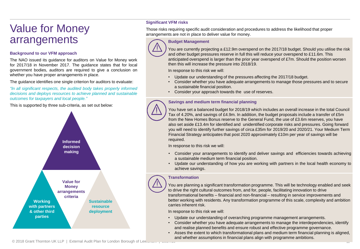### Value for Money arrangements

#### **Background to our VFM approach**

The NAO issued its guidance for auditors on Value for Money work for 2017/18 in November 2017. The guidance states that for local government bodies, auditors are required to give a conclusion on whether you have proper arrangements in place.

The guidance identifies one single criterion for auditors to evaluate:

*"In all significant respects, the audited body takes properly informed decisions and deploys resources to achieve planned and sustainable outcomes for taxpayers and local people."*

This is supported by three sub-criteria, as set out below:



#### **Significant VFM risks**

Those risks requiring specific audit consideration and procedures to address the likelihood that proper arrangements are not in place to deliver value for money.

### **Budget Management**

You are currently projecting a £12.9m overspend on the 2017/18 budget. Should you utilise the risk and other budget pressures reserve in full this will reduce your overspend to £11.6m. This anticipated overspend is larger than the prior year overspend of £7m. Should the position worsen then this will increase the pressure into 2018/19.

In response to this risk we will:

- Update our understanding of the pressures affecting the 2017/18 budget.
- Consider whether you have adequate arrangements to manage those pressures and to secure a sustainable financial position.
- Consider your approach towards the use of reserves.

#### **Savings and medium term financial planning**

You have set a balanced budget for 2018/19 which includes an overall increase in the total Council Tax of 4.20%, and savings of £4.9m. In addition, the budget proposals include a transfer of £5m from the New Homes Bonus reserve to the General Fund, the use of £3.6m reserves, you have also set aside £13.4m for identified and unidentified corporate risks and pressures. Going forward you will need to identify further savings of circa £35m for 2019/20 and 2020/21. Your Medium Term Financial Strategy anticipates that post 2020 approximately £10m per year of savings will be required.

In response to this risk we will:

- Consider your arrangements to identify and deliver savings and efficiencies towards achieving a sustainable medium term financial position.
- Update our understanding of how you are working with partners in the local health economy to achieve savings.

#### **Transformation**

You are planning a significant transformation programme. This will be technology enabled and seek to drive the right cultural outcomes from, and for, people, facilitating innovation to drive transformational benefits – financial and non-financial – resulting in service improvements and better working with residents. Any transformation programme of this scale, complexity and ambition carries inherent risk.

In response to this risk we will:

- Update our understanding of overarching programme management arrangements.
- Consider whether you have adequate arrangements to manage the interdependencies, identify and realise planned benefits and ensure robust and effective programme governance.
- Asses the extent to which transformational plans and medium term financial planning is aligned, and whether assumptions in financial plans align with programme ambitions.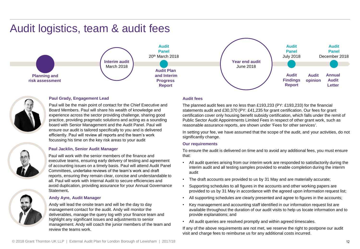### Audit logistics, team & audit fees





#### **Paul Grady, Engagement Lead**

Paul will be the main point of contact for the Chief Executive and Board Members. Paul will share his wealth of knowledge and experience across the sector providing challenge, sharing good practice, providing pragmatic solutions and acting as a sounding board with Senior Management and the Audit Panel. Paul will ensure our audit is tailored specifically to you and is delivered efficiently. Paul will review all reports and the team's work focussing his time on the key risk areas to your audit

#### **Paul Jacklin, Senior Audit Manager**

Paul will work with the senior members of the finance and executive teams, ensuring early delivery of testing and agreement of accounting issues on a timely basis. Paul will attend Audit Panel Committees, undertake reviews of the team's work and draft reports, ensuring they remain clear, concise and understandable to all. Paul will work with Internal Audit to secure efficiencies and avoid duplication, providing assurance for your Annual Governance Statement**.**

#### **Andy Ayre, Audit Manager**

Andy will lead the onsite team and will be the day to day management contact for the audit. Andy will monitor the deliverables, manage the query log with your finance team and highlight any significant issues and adjustments to senior management. Andy will coach the junior members of the team and review the teams work.

#### **Audit fees**

The planned audit fees are no less than £193,233 (PY: £193,233) for the financial statements audit and £30,370 (PY: £41,235 for grant certification. Our fees for grant certification cover only housing benefit subsidy certification, which falls under the remit of Public Sector Audit Appointments Limited Fees in respect of other grant work, such as reasonable assurance reports, are shown under 'Fees for other services'.

In setting your fee, we have assumed that the scope of the audit, and your activities, do not significantly change.

#### **Our requirements**

To ensure the audit is delivered on time and to avoid any additional fees, you must ensure that:

- All audit queries arising from our interim work are responded to satisfactorily during the interim audit and all testing samples provided to enable completion during the interim audit
- The draft accounts are provided to us by 31 May and are materially accurate;
- Supporting schedules to all figures in the accounts and other working papers are provided to us by 31 May in accordance with the agreed upon information request list;
- All supporting schedules are clearly presented and agree to figures in the accounts;
- Key management and accounting staff identified in our information request list are available throughout the duration of our audit visits to help us locate information and to provide explanations; and
- All audit queries are resolved promptly and within agreed timescales.

If any of the above requirements are not met, we reserve the right to postpone our audit visit and charge fees to reimburse us for any additional costs incurred.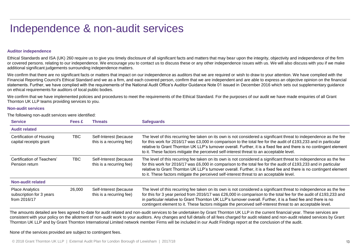### Independence & non-audit services

#### **Auditor independence**

Ethical Standards and ISA (UK) 260 require us to give you timely disclosure of all significant facts and matters that may bear upon the integrity, objectivity and independence of the firm or covered persons. relating to our independence. We encourage you to contact us to discuss these or any other independence issues with us. We will also discuss with you if we make additional significant judgements surrounding independence matters.

We confirm that there are no significant facts or matters that impact on our independence as auditors that we are required or wish to draw to your attention. We have complied with the Financial Reporting Council's Ethical Standard and we as a firm, and each covered person, confirm that we are independent and are able to express an objective opinion on the financial statements. Further, we have complied with the requirements of the National Audit Office's Auditor Guidance Note 01 issued in December 2016 which sets out supplementary guidance on ethical requirements for auditors of local public bodies.

We confirm that we have implemented policies and procedures to meet the requirements of the Ethical Standard. For the purposes of our audit we have made enquiries of all Grant Thornton UK LLP teams providing services to you.

#### **Non-audit services**

The following non-audit services were identified:

| <b>Service</b>                                                     | Fees £ | <b>Threats</b>                                     | <b>Safeguards</b>                                                                                                                                                                                                                                                                                                                                                                                                                                                       |
|--------------------------------------------------------------------|--------|----------------------------------------------------|-------------------------------------------------------------------------------------------------------------------------------------------------------------------------------------------------------------------------------------------------------------------------------------------------------------------------------------------------------------------------------------------------------------------------------------------------------------------------|
| <b>Audit related</b>                                               |        |                                                    |                                                                                                                                                                                                                                                                                                                                                                                                                                                                         |
| Certification of Housing<br>capital receipts grant                 | TBC    | Self-Interest (because<br>this is a recurring fee) | The level of this recurring fee taken on its own is not considered a significant threat to independence as the fee<br>for this work for 2016/17 was £3,000 in comparison to the total fee for the audit of £193,233 and in particular<br>relative to Grant Thornton UK LLP's turnover overall. Further, it is a fixed fee and there is no contingent element<br>to it. These factors mitigate the perceived self-interest threat to an acceptable level.                |
| Certification of Teachers'<br>Pension return                       | TBC.   | Self-Interest (because<br>this is a recurring fee) | The level of this recurring fee taken on its own is not considered a significant threat to independence as the fee<br>for this work for 2016/17 was £6,000 in comparison to the total fee for the audit of £193,233 and in particular<br>relative to Grant Thornton UK LLP's turnover overall. Further, it is a fixed fee and there is no contingent element<br>to it. These factors mitigate the perceived self-interest threat to an acceptable level.                |
| Non-audit related                                                  |        |                                                    |                                                                                                                                                                                                                                                                                                                                                                                                                                                                         |
| <b>Place Analytics</b><br>subscription for 3 years<br>from 2016/17 | 26,000 | Self-Interest (because<br>this is a recurring fee) | The level of this recurring fee taken on its own is not considered a significant threat to independence as the fee<br>for this for 3 year period from 2016/17 was £26,000 in comparison to the total fee for the audit of £193,233 and<br>in particular relative to Grant Thornton UK LLP's turnover overall. Further, it is a fixed fee and there is no<br>contingent element to it. These factors mitigate the perceived self-interest threat to an acceptable level. |

The amounts detailed are fees agreed to-date for audit related and non-audit services to be undertaken by Grant Thornton UK LLP in the current financial year. These services are consistent with your policy on the allotment of non-audit work to your auditors. Any changes and full details of all fees charged for audit related and non-audit related services by Grant Thornton UK LLP and by Grant Thornton International Limited network member Firms will be included in our Audit Findings report at the conclusion of the audit.

None of the services provided are subject to contingent fees.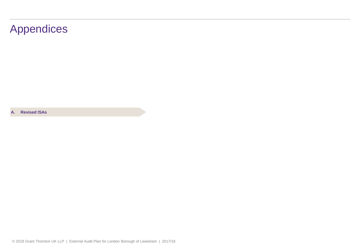### Appendices

**A. Revised ISAs**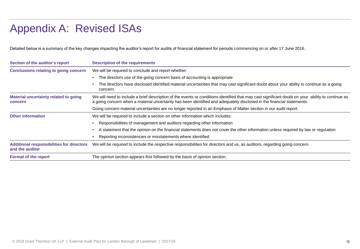### Appendix A: Revised ISAs

Detailed below is a summary of the key changes impacting the auditor's report for audits of financial statement for periods commencing on or after 17 June 2016.

| Section of the auditor's report                                     | <b>Description of the requirements</b>                                                                                                                                                                                                                                     |  |  |
|---------------------------------------------------------------------|----------------------------------------------------------------------------------------------------------------------------------------------------------------------------------------------------------------------------------------------------------------------------|--|--|
| <b>Conclusions relating to going concern</b>                        | We will be required to conclude and report whether:                                                                                                                                                                                                                        |  |  |
|                                                                     | The directors use of the going concern basis of accounting is appropriate                                                                                                                                                                                                  |  |  |
|                                                                     | The directors have disclosed identified material uncertainties that may cast significant doubt about your ability to continue as a going<br>concern.                                                                                                                       |  |  |
| Material uncertainty related to going<br><b>concern</b>             | We will need to include a brief description of the events or conditions identified that may cast significant doubt on your ability to continue as<br>a going concern when a material uncertainty has been identified and adequately disclosed in the financial statements. |  |  |
|                                                                     | Going concern material uncertainties are no longer reported in an Emphasis of Matter section in our audit report.                                                                                                                                                          |  |  |
| <b>Other information</b>                                            | We will be required to include a section on other information which includes:                                                                                                                                                                                              |  |  |
|                                                                     | Responsibilities of management and auditors regarding other information                                                                                                                                                                                                    |  |  |
|                                                                     | A statement that the opinion on the financial statements does not cover the other information unless required by law or regulation                                                                                                                                         |  |  |
|                                                                     | Reporting inconsistencies or misstatements where identified                                                                                                                                                                                                                |  |  |
| <b>Additional responsibilities for directors</b><br>and the auditor | We will be required to include the respective responsibilities for directors and us, as auditors, regarding going concern.                                                                                                                                                 |  |  |
| <b>Format of the report</b>                                         | The opinion section appears first followed by the basis of opinion section.                                                                                                                                                                                                |  |  |